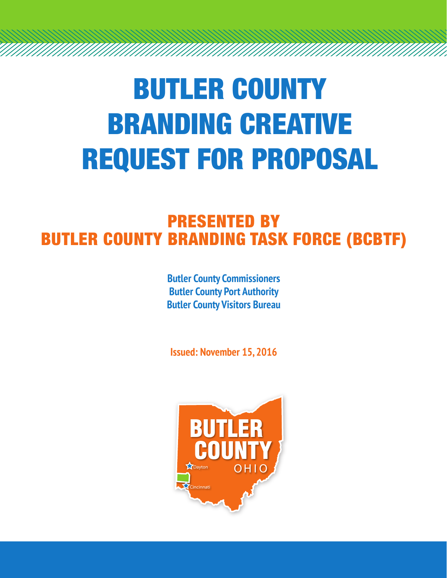# BUTLER COUNTY BRANDING CREATIVE REQUEST FOR PROPOSAL

#### PRESENTED BY BUTLER COUNTY BRANDING TASK FORCE (BCBTF)

**Butler County Commissioners Butler County Port Authority Butler County Visitors Bureau**

**Issued: November 15, 2016**

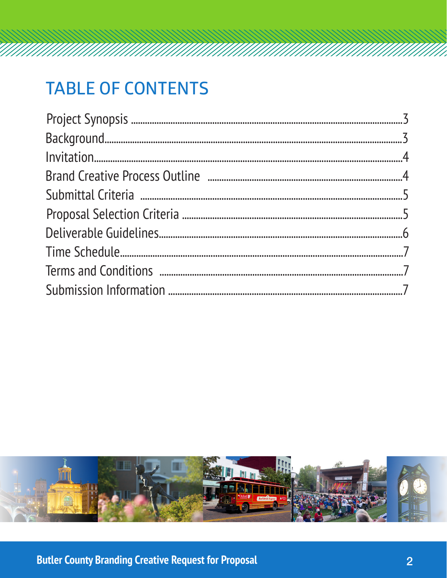## **TABLE OF CONTENTS**

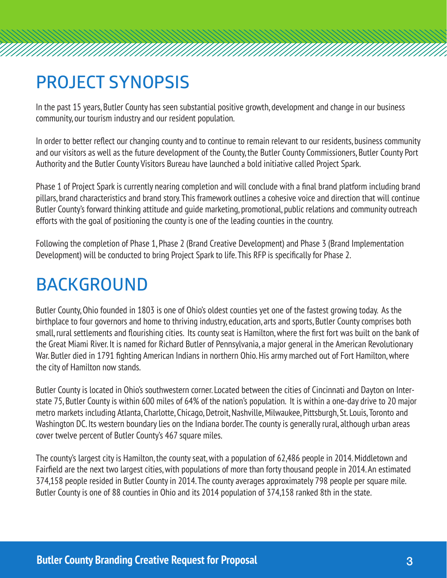#### **PROJECT SYNOPSIS**

In the past 15 years, Butler County has seen substantial positive growth, development and change in our business community, our tourism industry and our resident population.

In order to better reflect our changing county and to continue to remain relevant to our residents, business community and our visitors as well as the future development of the County, the Butler County Commissioners, Butler County Port Authority and the Butler County Visitors Bureau have launched a bold initiative called Project Spark.

Phase 1 of Project Spark is currently nearing completion and will conclude with a final brand platform including brand pillars, brand characteristics and brand story. This framework outlines a cohesive voice and direction that will continue Butler County's forward thinking attitude and guide marketing, promotional, public relations and community outreach efforts with the goal of positioning the county is one of the leading counties in the country.

Following the completion of Phase 1, Phase 2 (Brand Creative Development) and Phase 3 (Brand Implementation Development) will be conducted to bring Project Spark to life. This RFP is specifically for Phase 2.

#### **BACKGROUND**

Butler County, Ohio founded in 1803 is one of Ohio's oldest counties yet one of the fastest growing today. As the birthplace to four governors and home to thriving industry, education, arts and sports, Butler County comprises both small, rural settlements and flourishing cities. Its county seat is Hamilton, where the first fort was built on the bank of the Great Miami River. It is named for Richard Butler of Pennsylvania, a major general in the American Revolutionary War. Butler died in 1791 fighting American Indians in northern Ohio. His army marched out of Fort Hamilton, where the city of Hamilton now stands.

Butler County is located in Ohio's southwestern corner. Located between the cities of Cincinnati and Dayton on Interstate 75, Butler County is within 600 miles of 64% of the nation's population. It is within a one-day drive to 20 major metro markets including Atlanta, Charlotte, Chicago, Detroit, Nashville, Milwaukee, Pittsburgh, St. Louis, Toronto and Washington DC. Its western boundary lies on the Indiana border. The county is generally rural, although urban areas cover twelve percent of Butler County's 467 square miles.

The county's largest city is Hamilton, the county seat, with a population of 62,486 people in 2014. Middletown and Fairfield are the next two largest cities, with populations of more than forty thousand people in 2014. An estimated 374,158 people resided in Butler County in 2014. The county averages approximately 798 people per square mile. Butler County is one of 88 counties in Ohio and its 2014 population of 374,158 ranked 8th in the state.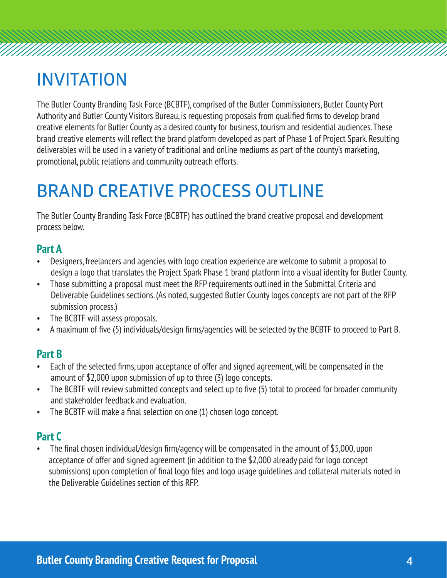#### **INVITATION**

The Butler County Branding Task Force (BCBTF), comprised of the Butler Commissioners, Butler County Port Authority and Butler County Visitors Bureau, is requesting proposals from qualified firms to develop brand creative elements for Butler County as a desired county for business, tourism and residential audiences. These brand creative elements will reflect the brand platform developed as part of Phase 1 of Project Spark. Resulting deliverables will be used in a variety of traditional and online mediums as part of the county's marketing, promotional, public relations and community outreach efforts.

### **BRAND CREATIVE PROCESS OUTLINE**

The Butler County Branding Task Force (BCBTF) has outlined the brand creative proposal and development process below.

#### **Part A**

- Designers, freelancers and agencies with logo creation experience are welcome to submit a proposal to design a logo that translates the Project Spark Phase 1 brand platform into a visual identity for Butler County.
- Those submitting a proposal must meet the RFP requirements outlined in the Submittal Criteria and Deliverable Guidelines sections. (As noted, suggested Butler County logos concepts are not part of the RFP submission process.)
- The BCBTF will assess proposals.
- A maximum of five (5) individuals/design firms/agencies will be selected by the BCBTF to proceed to Part B.

#### **Part B**

- Each of the selected firms, upon acceptance of offer and signed agreement, will be compensated in the amount of \$2,000 upon submission of up to three (3) logo concepts.
- The BCBTF will review submitted concepts and select up to five (5) total to proceed for broader community and stakeholder feedback and evaluation.
- The BCBTF will make a final selection on one (1) chosen logo concept.

#### **Part C**

• The final chosen individual/design firm/agency will be compensated in the amount of \$5,000, upon acceptance of offer and signed agreement (in addition to the \$2,000 already paid for logo concept submissions) upon completion of final logo files and logo usage guidelines and collateral materials noted in the Deliverable Guidelines section of this RFP.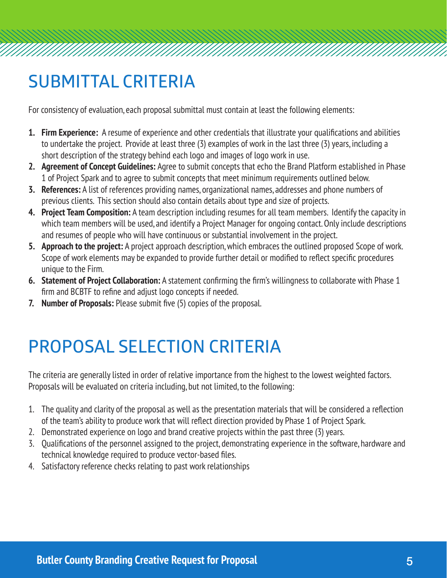### **SUBMITTAL CRITERIA**

For consistency of evaluation, each proposal submittal must contain at least the following elements:

- **1. Firm Experience:** A resume of experience and other credentials that illustrate your qualifications and abilities to undertake the project. Provide at least three (3) examples of work in the last three (3) years, including a short description of the strategy behind each logo and images of logo work in use.
- **2. Agreement of Concept Guidelines:** Agree to submit concepts that echo the Brand Platform established in Phase 1 of Project Spark and to agree to submit concepts that meet minimum requirements outlined below.
- **3. References:** A list of references providing names, organizational names, addresses and phone numbers of previous clients. This section should also contain details about type and size of projects.
- **4. Project Team Composition:** A team description including resumes for all team members. Identify the capacity in which team members will be used, and identify a Project Manager for ongoing contact. Only include descriptions and resumes of people who will have continuous or substantial involvement in the project.
- **5. Approach to the project:** A project approach description, which embraces the outlined proposed Scope of work. Scope of work elements may be expanded to provide further detail or modified to reflect specific procedures unique to the Firm.
- **6. Statement of Project Collaboration:** A statement confirming the firm's willingness to collaborate with Phase 1 firm and BCBTF to refine and adjust logo concepts if needed.
- **7. Number of Proposals:** Please submit five (5) copies of the proposal.

### **PROPOSAL SELECTION CRITERIA**

The criteria are generally listed in order of relative importance from the highest to the lowest weighted factors. Proposals will be evaluated on criteria including, but not limited, to the following:

- 1. The quality and clarity of the proposal as well as the presentation materials that will be considered a reflection of the team's ability to produce work that will reflect direction provided by Phase 1 of Project Spark.
- 2. Demonstrated experience on logo and brand creative projects within the past three (3) years.
- 3. Qualifications of the personnel assigned to the project, demonstrating experience in the software, hardware and technical knowledge required to produce vector-based files.
- 4. Satisfactory reference checks relating to past work relationships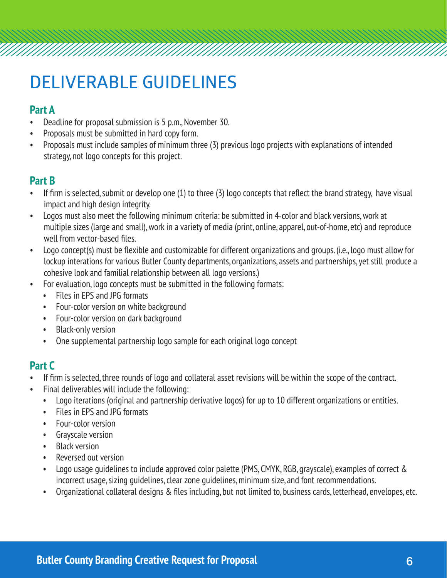### **DELIVERABLE GUIDELINES**

#### **Part A**

- Deadline for proposal submission is 5 p.m., November 30.
- Proposals must be submitted in hard copy form.
- Proposals must include samples of minimum three (3) previous logo projects with explanations of intended strategy, not logo concepts for this project.

#### **Part B**

- If firm is selected, submit or develop one (1) to three (3) logo concepts that reflect the brand strategy, have visual impact and high design integrity.
- Logos must also meet the following minimum criteria: be submitted in 4-color and black versions, work at multiple sizes (large and small), work in a variety of media (print, online, apparel, out-of-home, etc) and reproduce well from vector-based files.
- Logo concept(s) must be flexible and customizable for different organizations and groups. (i.e., logo must allow for lockup interations for various Butler County departments, organizations, assets and partnerships, yet still produce a cohesive look and familial relationship between all logo versions.)
- For evaluation, logo concepts must be submitted in the following formats:
	- Files in EPS and JPG formats
	- Four-color version on white background
	- Four-color version on dark background
	- Black-only version
	- One supplemental partnership logo sample for each original logo concept

#### **Part C**

- If firm is selected, three rounds of logo and collateral asset revisions will be within the scope of the contract.
- Final deliverables will include the following:
	- Logo iterations (original and partnership derivative logos) for up to 10 different organizations or entities.
	- Files in EPS and JPG formats
	- Four-color version
	- Grayscale version
	- Black version
	- Reversed out version
	- Logo usage guidelines to include approved color palette (PMS, CMYK, RGB, grayscale), examples of correct & incorrect usage, sizing guidelines, clear zone guidelines, minimum size, and font recommendations.
	- Organizational collateral designs & files including, but not limited to, business cards, letterhead, envelopes, etc.